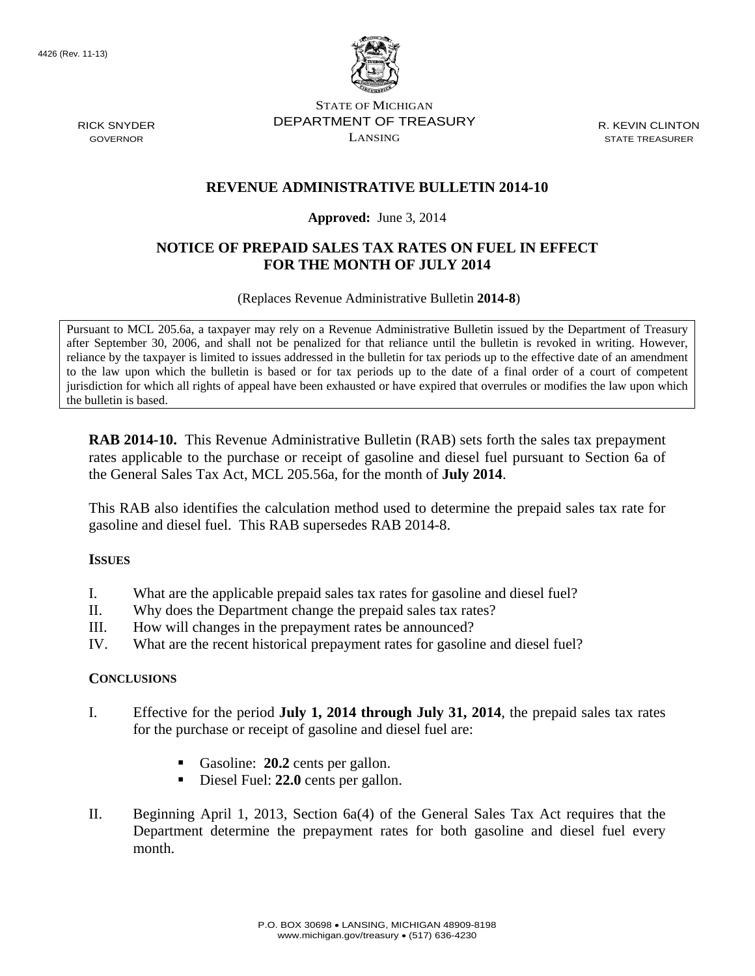

STATE OF MICHIGAN DEPARTMENT OF TREASURY LANSING

R. KEVIN CLINTON STATE TREASURER

### **REVENUE ADMINISTRATIVE BULLETIN 2014-10**

#### **Approved:** June 3, 2014

## **NOTICE OF PREPAID SALES TAX RATES ON FUEL IN EFFECT FOR THE MONTH OF JULY 2014**

(Replaces Revenue Administrative Bulletin **2014-8**)

Pursuant to MCL 205.6a, a taxpayer may rely on a Revenue Administrative Bulletin issued by the Department of Treasury after September 30, 2006, and shall not be penalized for that reliance until the bulletin is revoked in writing. However, reliance by the taxpayer is limited to issues addressed in the bulletin for tax periods up to the effective date of an amendment to the law upon which the bulletin is based or for tax periods up to the date of a final order of a court of competent jurisdiction for which all rights of appeal have been exhausted or have expired that overrules or modifies the law upon which the bulletin is based.

**RAB 2014-10.** This Revenue Administrative Bulletin (RAB) sets forth the sales tax prepayment rates applicable to the purchase or receipt of gasoline and diesel fuel pursuant to Section 6a of the General Sales Tax Act, MCL 205.56a, for the month of **July 2014**.

This RAB also identifies the calculation method used to determine the prepaid sales tax rate for gasoline and diesel fuel. This RAB supersedes RAB 2014-8.

#### **ISSUES**

- I. What are the applicable prepaid sales tax rates for gasoline and diesel fuel?
- II. Why does the Department change the prepaid sales tax rates?
- III. How will changes in the prepayment rates be announced?
- IV. What are the recent historical prepayment rates for gasoline and diesel fuel?

#### **CONCLUSIONS**

- I. Effective for the period **July 1, 2014 through July 31, 2014**, the prepaid sales tax rates for the purchase or receipt of gasoline and diesel fuel are:
	- Gasoline: **20.2** cents per gallon.
	- Diesel Fuel: **22.0** cents per gallon.
- II. Beginning April 1, 2013, Section 6a(4) of the General Sales Tax Act requires that the Department determine the prepayment rates for both gasoline and diesel fuel every month.

RICK SNYDER GOVERNOR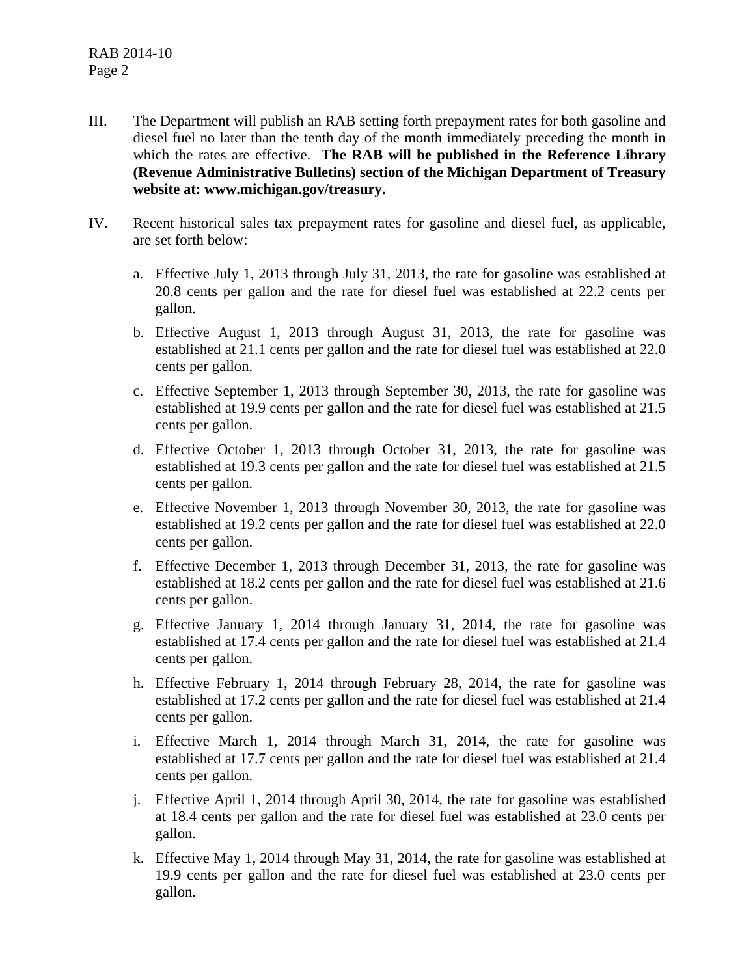- III. The Department will publish an RAB setting forth prepayment rates for both gasoline and diesel fuel no later than the tenth day of the month immediately preceding the month in which the rates are effective. **The RAB will be published in the Reference Library (Revenue Administrative Bulletins) section of the Michigan Department of Treasury website at: www.michigan.gov/treasury.**
- IV. Recent historical sales tax prepayment rates for gasoline and diesel fuel, as applicable, are set forth below:
	- a. Effective July 1, 2013 through July 31, 2013, the rate for gasoline was established at 20.8 cents per gallon and the rate for diesel fuel was established at 22.2 cents per gallon.
	- b. Effective August 1, 2013 through August 31, 2013, the rate for gasoline was established at 21.1 cents per gallon and the rate for diesel fuel was established at 22.0 cents per gallon.
	- c. Effective September 1, 2013 through September 30, 2013, the rate for gasoline was established at 19.9 cents per gallon and the rate for diesel fuel was established at 21.5 cents per gallon.
	- d. Effective October 1, 2013 through October 31, 2013, the rate for gasoline was established at 19.3 cents per gallon and the rate for diesel fuel was established at 21.5 cents per gallon.
	- e. Effective November 1, 2013 through November 30, 2013, the rate for gasoline was established at 19.2 cents per gallon and the rate for diesel fuel was established at 22.0 cents per gallon.
	- f. Effective December 1, 2013 through December 31, 2013, the rate for gasoline was established at 18.2 cents per gallon and the rate for diesel fuel was established at 21.6 cents per gallon.
	- g. Effective January 1, 2014 through January 31, 2014, the rate for gasoline was established at 17.4 cents per gallon and the rate for diesel fuel was established at 21.4 cents per gallon.
	- h. Effective February 1, 2014 through February 28, 2014, the rate for gasoline was established at 17.2 cents per gallon and the rate for diesel fuel was established at 21.4 cents per gallon.
	- i. Effective March 1, 2014 through March 31, 2014, the rate for gasoline was established at 17.7 cents per gallon and the rate for diesel fuel was established at 21.4 cents per gallon.
	- j. Effective April 1, 2014 through April 30, 2014, the rate for gasoline was established at 18.4 cents per gallon and the rate for diesel fuel was established at 23.0 cents per gallon.
	- k. Effective May 1, 2014 through May 31, 2014, the rate for gasoline was established at 19.9 cents per gallon and the rate for diesel fuel was established at 23.0 cents per gallon.